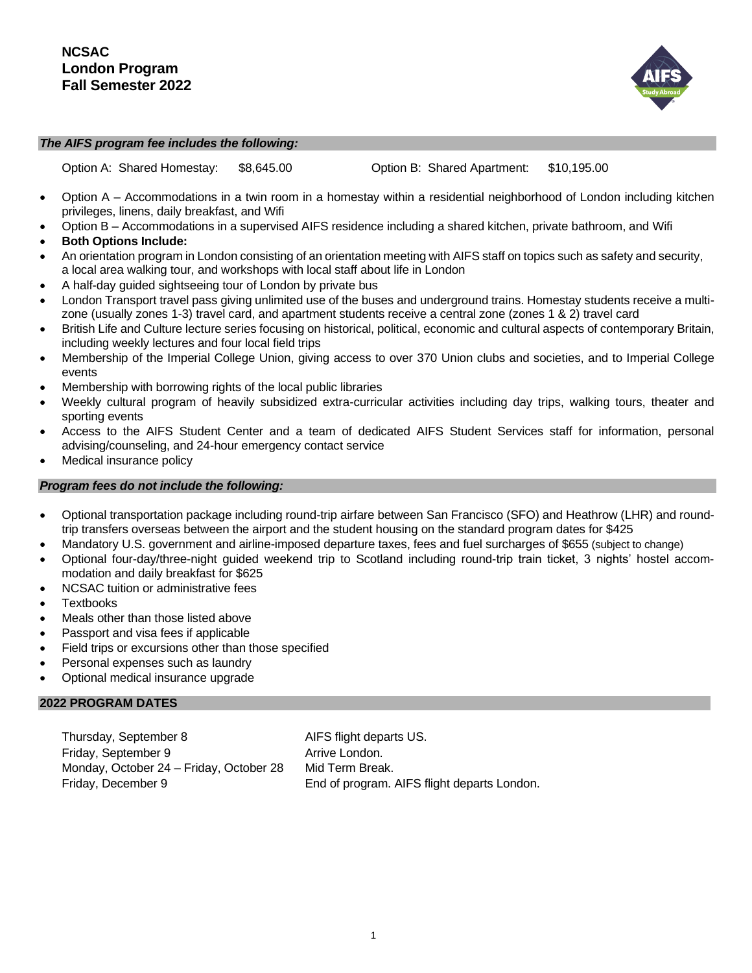

#### *The AIFS program fee includes the following:*

Option A: Shared Homestay: \$[8,645.00](https://8,645.00) Option B: Shared Apartment: [\\$10,195.00](https://10,195.00) 

- Option A Accommodations in a twin room in a homestay within a residential neighborhood of London including kitchen privileges, linens, daily breakfast, and Wifi
- Option B Accommodations in a supervised AIFS residence including a shared kitchen, private bathroom, and Wifi
- **Both Options Include:**
- An orientation program in London consisting of an orientation meeting with AIFS staff on topics such as safety and security, a local area walking tour, and workshops with local staff about life in London
- A half-day guided sightseeing tour of London by private bus
- London Transport travel pass giving unlimited use of the buses and underground trains. Homestay students receive a multizone (usually zones 1-3) travel card, and apartment students receive a central zone (zones 1 & 2) travel card
- British Life and Culture lecture series focusing on historical, political, economic and cultural aspects of contemporary Britain, including weekly lectures and four local field trips
- Membership of the Imperial College Union, giving access to over 370 Union clubs and societies, and to Imperial College events
- Membership with borrowing rights of the local public libraries
- Weekly cultural program of heavily subsidized extra-curricular activities including day trips, walking tours, theater and sporting events
- Access to the AIFS Student Center and a team of dedicated AIFS Student Services staff for information, personal advising/counseling, and 24-hour emergency contact service
- Medical insurance policy

# *Program fees do not include the following:*

- Optional transportation package including round-trip airfare between San Francisco (SFO) and Heathrow (LHR) and roundtrip transfers overseas between the airport and the student housing on the standard program dates for \$425
- Mandatory U.S. government and airline-imposed departure taxes, fees and fuel surcharges of \$655 (subject to change)
- Optional four-day/three-night guided weekend trip to Scotland including round-trip train ticket, 3 nights' hostel accommodation and daily breakfast for \$625
- NCSAC tuition or administrative fees
- **Textbooks**
- Meals other than those listed above
- Passport and visa fees if applicable
- Field trips or excursions other than those specified
- Personal expenses such as laundry
- Optional medical insurance upgrade

### **2022 PROGRAM DATES**

Thursday, September 8 AIFS flight departs US. Friday, September 9 Arrive London. Monday, October 24 – Friday, October 28 Mid Term Break.

Friday, December 9 End of program. AIFS flight departs London.